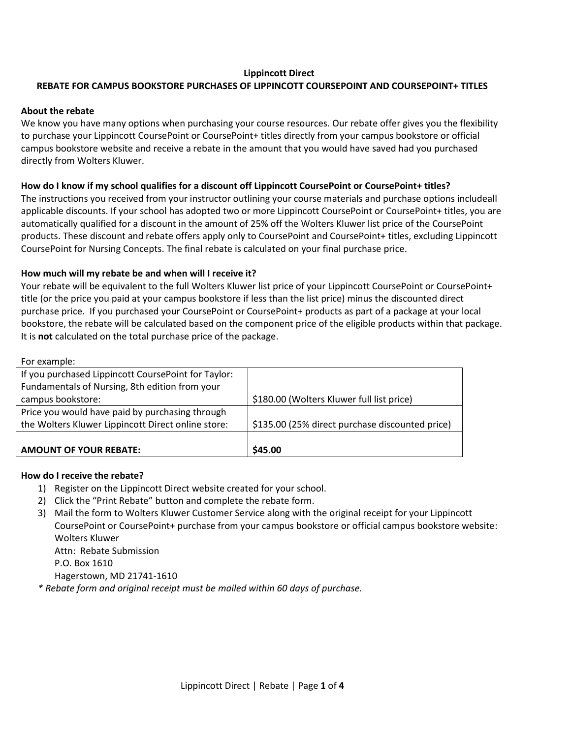## **Lippincott Direct**

## **REBATE FOR CAMPUS BOOKSTORE PURCHASES OF LIPPINCOTT COURSEPOINT AND COURSEPOINT+ TITLES**

#### **About the rebate**

We know you have many options when purchasing your course resources. Our rebate offer gives you the flexibility to purchase your Lippincott CoursePoint or CoursePoint+ titles directly from your campus bookstore or official campus bookstore website and receive a rebate in the amount that you would have saved had you purchased directly from Wolters Kluwer.

## **How do I know if my school qualifies for a discount off Lippincott CoursePoint or CoursePoint+ titles?**

The instructions you received from your instructor outlining your course materials and purchase options includeall applicable discounts. If your school has adopted two or more Lippincott CoursePoint or CoursePoint+ titles, you are automatically qualified for a discount in the amount of 25% off the Wolters Kluwer list price of the CoursePoint products. These discount and rebate offers apply only to CoursePoint and CoursePoint+ titles, excluding Lippincott CoursePoint for Nursing Concepts. The final rebate is calculated on your final purchase price.

### **How much will my rebate be and when will I receive it?**

Your rebate will be equivalent to the full Wolters Kluwer list price of your Lippincott CoursePoint or CoursePoint+ title (or the price you paid at your campus bookstore if less than the list price) minus the discounted direct purchase price. If you purchased your CoursePoint or CoursePoint+ products as part of a package at your local bookstore, the rebate will be calculated based on the component price of the eligible products within that package. It is **not** calculated on the total purchase price of the package.

For example:

| If you purchased Lippincott CoursePoint for Taylor: |                                                 |
|-----------------------------------------------------|-------------------------------------------------|
| Fundamentals of Nursing, 8th edition from your      |                                                 |
| campus bookstore:                                   | \$180.00 (Wolters Kluwer full list price)       |
| Price you would have paid by purchasing through     |                                                 |
| the Wolters Kluwer Lippincott Direct online store:  | \$135.00 (25% direct purchase discounted price) |
|                                                     |                                                 |
| <b>AMOUNT OF YOUR REBATE:</b>                       | \$45.00                                         |

#### **How do I receive the rebate?**

- 1) Register on the Lippincott Direct website created for your school.
- 2) Click the "Print Rebate" button and complete the rebate form.
- 3) Mail the form to Wolters Kluwer Customer Service along with the original receipt for your Lippincott CoursePoint or CoursePoint+ purchase from your campus bookstore or official campus bookstore website: Wolters Kluwer Attn: Rebate Submission P.O. Box 1610 Hagerstown, MD 21741-1610

*\* Rebate form and original receipt must be mailed within 60 days of purchase.*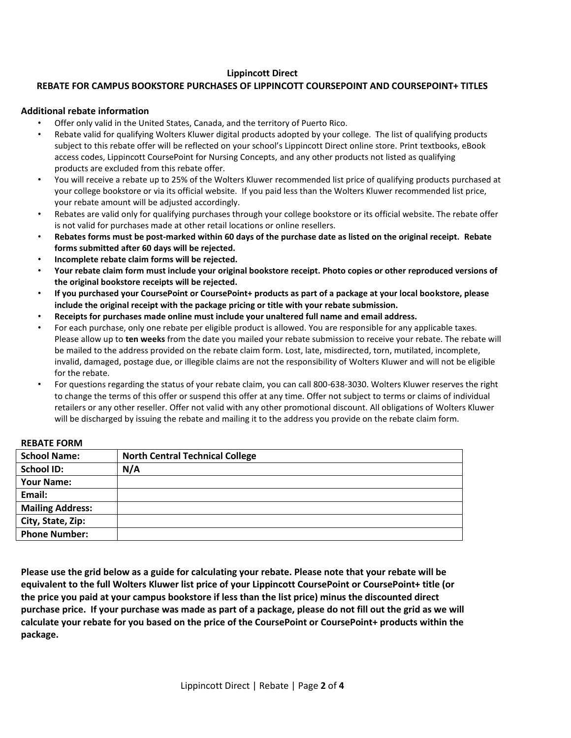## **Lippincott Direct**

### **REBATE FOR CAMPUS BOOKSTORE PURCHASES OF LIPPINCOTT COURSEPOINT AND COURSEPOINT+ TITLES**

#### **Additional rebate information**

- Offer only valid in the United States, Canada, and the territory of Puerto Rico.
- Rebate valid for qualifying Wolters Kluwer digital products adopted by your college. The list of qualifying products subject to this rebate offer will be reflected on your school's Lippincott Direct online store. Print textbooks, eBook access codes, Lippincott CoursePoint for Nursing Concepts, and any other products not listed as qualifying products are excluded from this rebate offer.
- You will receive a rebate up to 25% of the Wolters Kluwer recommended list price of qualifying products purchased at your college bookstore or via its official website. If you paid less than the Wolters Kluwer recommended list price, your rebate amount will be adjusted accordingly.
- Rebates are valid only for qualifying purchases through your college bookstore or its official website. The rebate offer is not valid for purchases made at other retail locations or online resellers.
- **Rebates forms must be post-marked within 60 days of the purchase date as listed on the original receipt. Rebate forms submitted after 60 days will be rejected.**
- **Incomplete rebate claim forms will be rejected.**
- **Your rebate claim form must include your original bookstore receipt. Photo copies or other reproduced versions of the original bookstore receipts will be rejected.**
- **If you purchased your CoursePoint or CoursePoint+ products as part of a package at your local bookstore, please include the original receipt with the package pricing or title with your rebate submission.**
- **Receipts for purchases made online must include your unaltered full name and email address.**
- For each purchase, only one rebate per eligible product is allowed. You are responsible for any applicable taxes. Please allow up to **ten weeks** from the date you mailed your rebate submission to receive your rebate. The rebate will be mailed to the address provided on the rebate claim form. Lost, late, misdirected, torn, mutilated, incomplete, invalid, damaged, postage due, or illegible claims are not the responsibility of Wolters Kluwer and will not be eligible for the rebate.
- For questions regarding the status of your rebate claim, you can call 800-638-3030. Wolters Kluwer reserves the right to change the terms of this offer or suspend this offer at any time. Offer not subject to terms or claims of individual retailers or any other reseller. Offer not valid with any other promotional discount. All obligations of Wolters Kluwer will be discharged by issuing the rebate and mailing it to the address you provide on the rebate claim form.

| <b>School Name:</b>     | <b>North Central Technical College</b> |
|-------------------------|----------------------------------------|
| <b>School ID:</b>       | N/A                                    |
| <b>Your Name:</b>       |                                        |
| Email:                  |                                        |
| <b>Mailing Address:</b> |                                        |
| City, State, Zip:       |                                        |
| <b>Phone Number:</b>    |                                        |

#### **REBATE FORM**

**Please use the grid below as a guide for calculating your rebate. Please note that your rebate will be equivalent to the full Wolters Kluwer list price of your Lippincott CoursePoint or CoursePoint+ title (or the price you paid at your campus bookstore if less than the list price) minus the discounted direct purchase price. If your purchase was made as part of a package, please do not fill out the grid as we will calculate your rebate for you based on the price of the CoursePoint or CoursePoint+ products within the package.**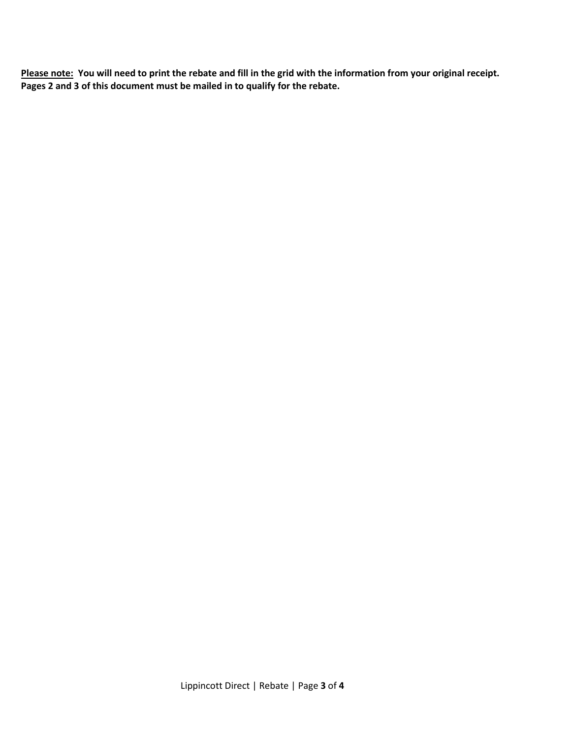**Please note: You will need to print the rebate and fill in the grid with the information from your original receipt. Pages 2 and 3 of this document must be mailed in to qualify for the rebate.**